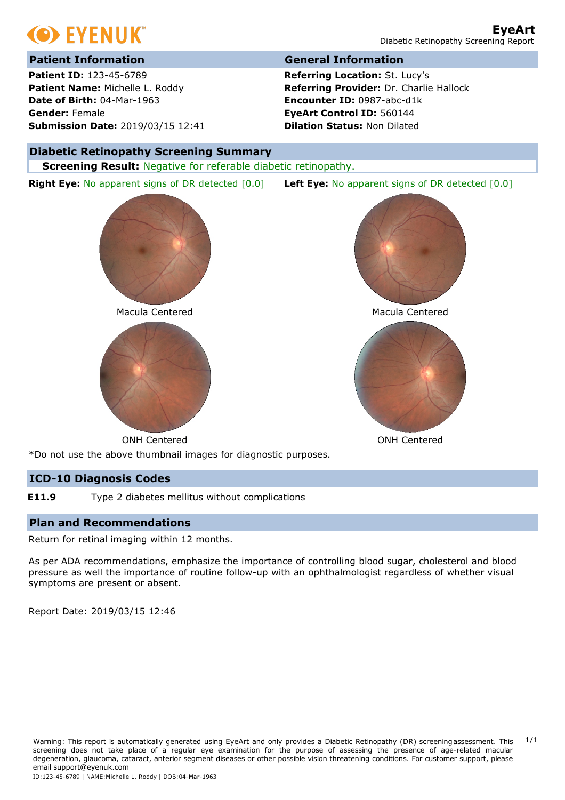

# **Patient Information General Information**

**Patient ID:** 123-45-6789 **Patient Name:** Michelle L. Roddy **Date of Birth:** 04-Mar-1963 **Gender:** Female **Submission Date:** 2019/03/15 12:41

**Referring Location:** St. Lucy's **Referring Provider:** Dr. Charlie Hallock **Encounter ID:** 0987-abc-d1k **EyeArt Control ID:** 560144 **Dilation Status:** Non Dilated

### **Diabetic Retinopathy Screening Summary**

**Right Eye:** No apparent signs of DR detected [0.0] **Left Eye:** No apparent signs of DR detected [0.0]

**Screening Result:** Negative for referable diabetic retinopathy.



Macula Centered Macula Centered







\*Do not use the above thumbnail images for diagnostic purposes.

### **ICD-10 Diagnosis Codes**

**E11.9** Type 2 diabetes mellitus without complications

### **Plan and Recommendations**

Return for retinal imaging within 12 months.

As per ADA recommendations, emphasize the importance of controlling blood sugar, cholesterol and blood pressure as well the importance of routine follow-up with an ophthalmologist regardless of whether visual symptoms are present or absent.

Report Date: 2019/03/15 12:46

Warning: This report is automatically generated using EyeArt and only provides a Diabetic Retinopathy (DR) screeningassessment. This 1/1 screening does not take place of a regular eye examination for the purpose of assessing the presence of age-related macular degeneration, glaucoma, cataract, anterior segment diseases or other possible vision threatening conditions. For customer support, please email support@eyenuk.com ID:123-45-6789 | NAME:Michelle L. Roddy | DOB:04-Mar-1963